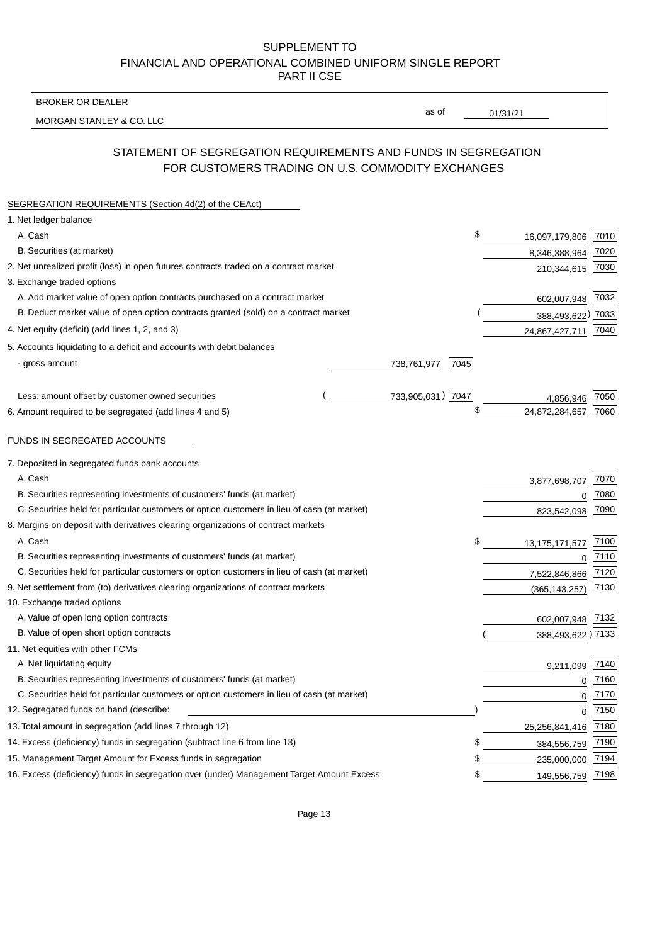BROKER OR DEALER

MORGAN STANLEY & CO. LLC

01/31/21

as of

# STATEMENT OF SEGREGATION REQUIREMENTS AND FUNDS IN SEGREGATION FOR CUSTOMERS TRADING ON U.S. COMMODITY EXCHANGES

| SEGREGATION REQUIREMENTS (Section 4d(2) of the CEAct)                                       |                     |    |                     |          |
|---------------------------------------------------------------------------------------------|---------------------|----|---------------------|----------|
| 1. Net ledger balance                                                                       |                     |    |                     |          |
| A. Cash                                                                                     |                     | \$ | 16,097,179,806      | 7010     |
| B. Securities (at market)                                                                   |                     |    | 8,346,388,964       | 7020     |
| 2. Net unrealized profit (loss) in open futures contracts traded on a contract market       |                     |    | 210,344,615 7030    |          |
| 3. Exchange traded options                                                                  |                     |    |                     |          |
| A. Add market value of open option contracts purchased on a contract market                 |                     |    | 602,007,948 7032    |          |
| B. Deduct market value of open option contracts granted (sold) on a contract market         |                     |    | 388,493,622) 7033   |          |
| 4. Net equity (deficit) (add lines 1, 2, and 3)                                             |                     |    | 24,867,427,711      | 7040     |
| 5. Accounts liquidating to a deficit and accounts with debit balances                       |                     |    |                     |          |
| - gross amount                                                                              | 738,761,977<br>7045 |    |                     |          |
|                                                                                             |                     |    |                     |          |
| Less: amount offset by customer owned securities                                            | 733,905,031) 7047   |    | 4,856,946           | 7050     |
| 6. Amount required to be segregated (add lines 4 and 5)                                     |                     | \$ | 24,872,284,657      | 7060     |
|                                                                                             |                     |    |                     |          |
| FUNDS IN SEGREGATED ACCOUNTS                                                                |                     |    |                     |          |
| 7. Deposited in segregated funds bank accounts                                              |                     |    |                     |          |
| A. Cash                                                                                     |                     |    | 3,877,698,707       | 7070     |
| B. Securities representing investments of customers' funds (at market)                      |                     |    | 0                   | 7080     |
| C. Securities held for particular customers or option customers in lieu of cash (at market) |                     |    | 823,542,098         | 7090     |
| 8. Margins on deposit with derivatives clearing organizations of contract markets           |                     |    |                     |          |
| A. Cash                                                                                     |                     | \$ | 13, 175, 171, 577   | 7100     |
| B. Securities representing investments of customers' funds (at market)                      |                     |    | 0                   | 7110     |
| C. Securities held for particular customers or option customers in lieu of cash (at market) |                     |    | 7,522,846,866       | 7120     |
| 9. Net settlement from (to) derivatives clearing organizations of contract markets          |                     |    | (365, 143, 257)     | 7130     |
| 10. Exchange traded options                                                                 |                     |    |                     |          |
| A. Value of open long option contracts                                                      |                     |    | 602,007,948 7132    |          |
| B. Value of open short option contracts                                                     |                     |    | 388,493,622 ) 7133  |          |
| 11. Net equities with other FCMs                                                            |                     |    |                     |          |
| A. Net liquidating equity                                                                   |                     |    | 9,211,099           | 7140     |
| B. Securities representing investments of customers' funds (at market)                      |                     |    | $\mathbf 0$         | 7160     |
| C. Securities held for particular customers or option customers in lieu of cash (at market) |                     |    | $\mathbf 0$         | 7170     |
| 12. Segregated funds on hand (describe:                                                     |                     |    |                     | $0$ 7150 |
| 13. Total amount in segregation (add lines 7 through 12)                                    |                     |    | 25,256,841,416 7180 |          |
| 14. Excess (deficiency) funds in segregation (subtract line 6 from line 13)                 |                     | S  | 384,556,759         | 7190     |
| 15. Management Target Amount for Excess funds in segregation                                |                     | \$ | 235,000,000         | 7194     |
| 16. Excess (deficiency) funds in segregation over (under) Management Target Amount Excess   |                     | \$ | 149,556,759         | 7198     |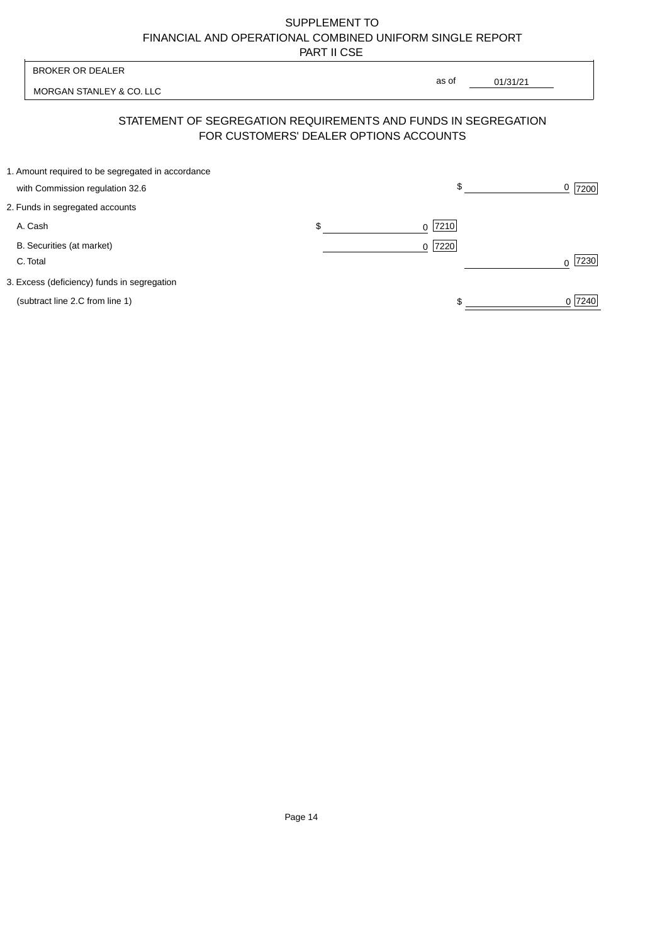| <b>BROKER OR DEALER</b>                                                              | as of                                                                                                    |        |
|--------------------------------------------------------------------------------------|----------------------------------------------------------------------------------------------------------|--------|
| MORGAN STANLEY & CO. LLC                                                             | 01/31/21                                                                                                 |        |
|                                                                                      | STATEMENT OF SEGREGATION REQUIREMENTS AND FUNDS IN SEGREGATION<br>FOR CUSTOMERS' DEALER OPTIONS ACCOUNTS |        |
| 1. Amount required to be segregated in accordance<br>with Commission regulation 32.6 | \$                                                                                                       | 7200   |
| 2. Funds in segregated accounts                                                      |                                                                                                          |        |
| A. Cash                                                                              | \$<br>7210                                                                                               |        |
| B. Securities (at market)<br>C. Total                                                | 7220 <br>$\Omega$                                                                                        | 7230   |
| 3. Excess (deficiency) funds in segregation                                          |                                                                                                          |        |
| (subtract line 2.C from line 1)                                                      |                                                                                                          | 0 7240 |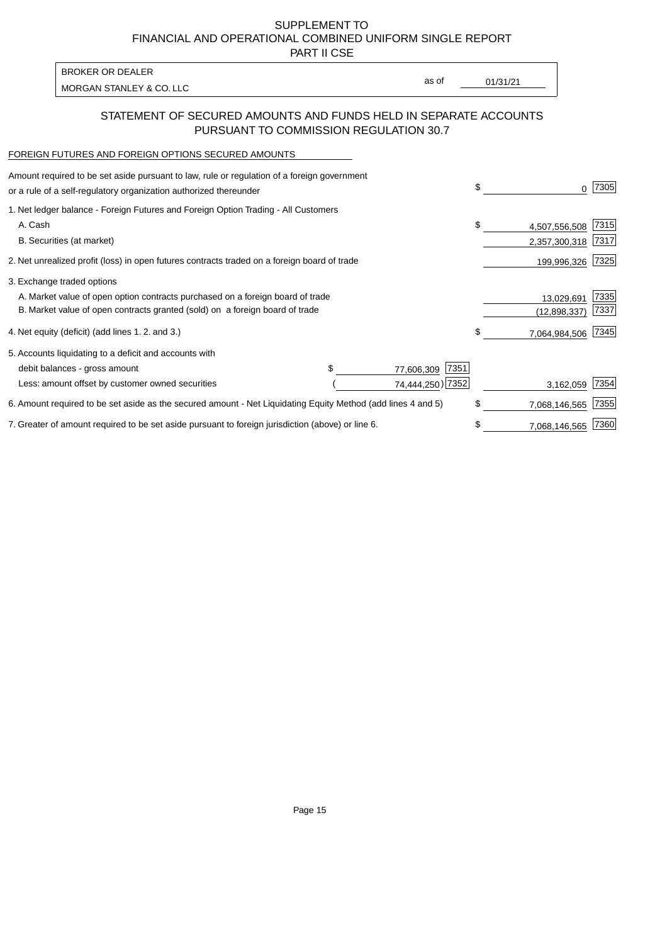PART II CSE

| BROKER OR DEALER         |       |          |
|--------------------------|-------|----------|
| MORGAN STANLEY & CO. LLC | as of | 01/31/21 |
|                          |       |          |

# STATEMENT OF SECURED AMOUNTS AND FUNDS HELD IN SEPARATE ACCOUNTS PURSUANT TO COMMISSION REGULATION 30.7

#### FOREIGN FUTURES AND FOREIGN OPTIONS SECURED AMOUNTS

| Amount required to be set aside pursuant to law, rule or regulation of a foreign government<br>or a rule of a self-regulatory organization authorized thereunder |                    | \$<br>0             | 7305 |
|------------------------------------------------------------------------------------------------------------------------------------------------------------------|--------------------|---------------------|------|
| 1. Net ledger balance - Foreign Futures and Foreign Option Trading - All Customers                                                                               |                    |                     |      |
| A. Cash                                                                                                                                                          |                    | \$<br>4,507,556,508 | 7315 |
| B. Securities (at market)                                                                                                                                        |                    | 2,357,300,318       | 7317 |
| 2. Net unrealized profit (loss) in open futures contracts traded on a foreign board of trade                                                                     |                    | 199,996,326         | 7325 |
| 3. Exchange traded options                                                                                                                                       |                    |                     |      |
| A. Market value of open option contracts purchased on a foreign board of trade                                                                                   |                    | 13,029,691          | 7335 |
| B. Market value of open contracts granted (sold) on a foreign board of trade                                                                                     |                    | (12,898,337)        | 7337 |
| 4. Net equity (deficit) (add lines 1.2. and 3.)                                                                                                                  |                    | 7,064,984,506       | 7345 |
| 5. Accounts liquidating to a deficit and accounts with                                                                                                           |                    |                     |      |
| debit balances - gross amount                                                                                                                                    | 7351<br>77,606,309 |                     |      |
| Less: amount offset by customer owned securities                                                                                                                 | 74,444,250) 7352   | 3,162,059           | 7354 |
| 6. Amount required to be set aside as the secured amount - Net Liquidating Equity Method (add lines 4 and 5)                                                     |                    | 7,068,146,565       | 7355 |
| 7. Greater of amount required to be set aside pursuant to foreign jurisdiction (above) or line 6.                                                                |                    | 7,068,146,565       | 7360 |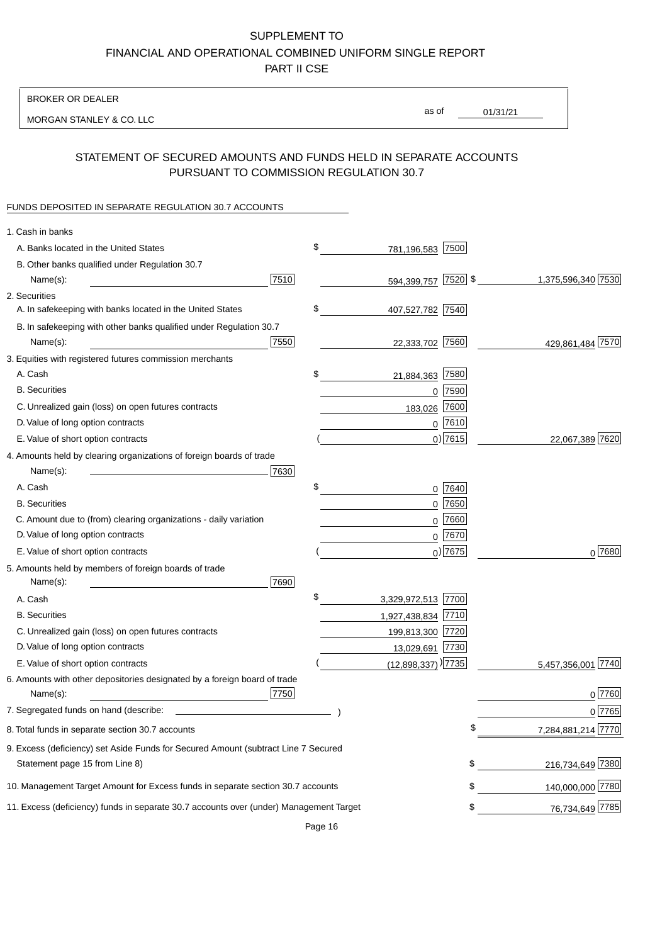BROKER OR DEALER

MORGAN STANLEY & CO. LLC

01/31/21 as of

## STATEMENT OF SECURED AMOUNTS AND FUNDS HELD IN SEPARATE ACCOUNTS PURSUANT TO COMMISSION REGULATION 30.7

#### FUNDS DEPOSITED IN SEPARATE REGULATION 30.7 ACCOUNTS

| 1. Cash in banks                                                                                                     |      |                                  |                    |
|----------------------------------------------------------------------------------------------------------------------|------|----------------------------------|--------------------|
| A. Banks located in the United States                                                                                | \$   | 781,196,583 7500                 |                    |
| B. Other banks qualified under Regulation 30.7                                                                       |      |                                  |                    |
| Name(s):                                                                                                             | 7510 | 594,399,757 7520 \$              | 1,375,596,340 7530 |
| 2. Securities                                                                                                        |      |                                  |                    |
| A. In safekeeping with banks located in the United States                                                            | \$   | 407,527,782 7540                 |                    |
| B. In safekeeping with other banks qualified under Regulation 30.7                                                   |      |                                  |                    |
| Name(s):                                                                                                             | 7550 | 22,333,702 7560                  | 429,861,484 7570   |
| 3. Equities with registered futures commission merchants                                                             |      |                                  |                    |
| A. Cash                                                                                                              | \$   | 7580<br>21,884,363               |                    |
| <b>B.</b> Securities                                                                                                 |      | $0$ 7590                         |                    |
| C. Unrealized gain (loss) on open futures contracts                                                                  |      | 7600<br>183,026                  |                    |
| D. Value of long option contracts                                                                                    |      | $0$ 7610                         |                    |
| E. Value of short option contracts                                                                                   |      | $0)$ 7615                        | 22,067,389 7620    |
| 4. Amounts held by clearing organizations of foreign boards of trade                                                 |      |                                  |                    |
| Name(s):                                                                                                             | 7630 |                                  |                    |
| A. Cash                                                                                                              | \$   | $0$ 7640                         |                    |
| <b>B.</b> Securities                                                                                                 |      | 7650<br>0                        |                    |
| C. Amount due to (from) clearing organizations - daily variation                                                     |      | 7660<br>0                        |                    |
| D. Value of long option contracts                                                                                    |      | 0 7670                           |                    |
| E. Value of short option contracts                                                                                   |      | $0$ ) 7675                       | $0^{7680}$         |
| 5. Amounts held by members of foreign boards of trade<br>Name(s):                                                    | 7690 |                                  |                    |
| A. Cash                                                                                                              | \$   | 3,329,972,513 7700               |                    |
| <b>B.</b> Securities                                                                                                 |      | 1,927,438,834 7710               |                    |
| C. Unrealized gain (loss) on open futures contracts                                                                  |      | 199,813,300 7720                 |                    |
| D. Value of long option contracts                                                                                    |      | 13,029,691 7730                  |                    |
| E. Value of short option contracts                                                                                   |      | $(12,898,337)$ <sup>[7735]</sup> | 5,457,356,001 7740 |
| 6. Amounts with other depositories designated by a foreign board of trade<br>Name(s):                                | 7750 |                                  | 0 7760             |
| 7. Segregated funds on hand (describe:                                                                               |      |                                  | 0 7765             |
| 8. Total funds in separate section 30.7 accounts                                                                     |      | \$                               | 7,284,881,214 7770 |
| 9. Excess (deficiency) set Aside Funds for Secured Amount (subtract Line 7 Secured<br>Statement page 15 from Line 8) |      | \$                               | 216,734,649 7380   |
| 10. Management Target Amount for Excess funds in separate section 30.7 accounts                                      |      | \$                               | 140,000,000 7780   |
|                                                                                                                      |      |                                  |                    |
| 11. Excess (deficiency) funds in separate 30.7 accounts over (under) Management Target                               |      | \$                               | 76,734,649 7785    |